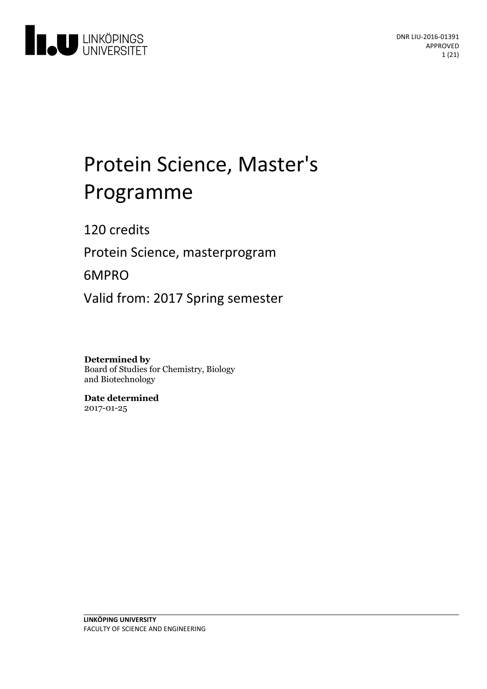

# Protein Science, Master's Programme

120 credits

Protein Science, masterprogram

6MPRO

Valid from: 2017 Spring semester

**Determined by**

Board of Studies for Chemistry, Biology and Biotechnology

**Date determined** 2017-01-25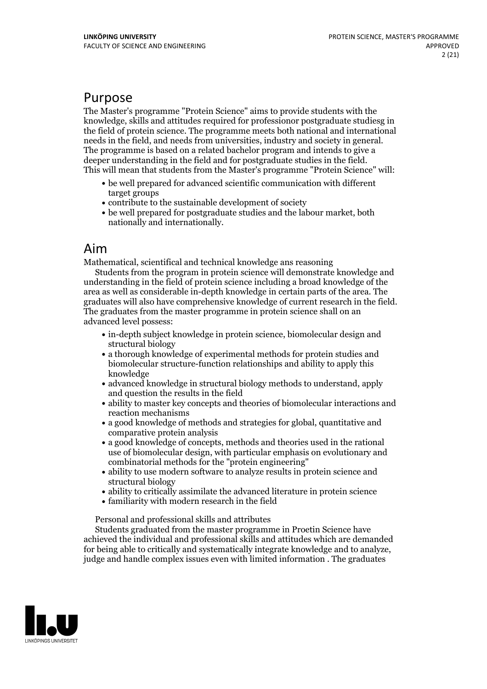## Purpose

The Master's programme "Protein Science" aims to provide students with the knowledge, skills and attitudes required for professionor postgraduate studiesg in the field of protein science. The programme meets both national and international needs in the field, and needs from universities, industry and society in general. The programme is based on a related bachelor program and intends to give a deeper understanding in the field and for postgraduate studies in the field. This will mean that students from the Master's programme "Protein Science" will:

- be well prepared for advanced scientific communication with different target groups
- contribute to the sustainable development of society
- be well prepared for postgraduate studies and the labour market, both nationally and internationally.

## Aim

Mathematical, scientifical and technical knowledge ans reasoning

Students from the program in protein science will demonstrate knowledge and understanding in the field of protein science including a broad knowledge of the area as well as considerable in-depth knowledge in certain parts of the area. The graduates will also have comprehensive knowledge of current research in the field. The graduates from the master programme in protein science shall on an advanced level possess:

- in-depth subject knowledge in protein science, biomolecular design and structural biology
- a thorough knowledge of experimental methods for protein studies and biomolecular structure-function relationships and ability to apply this knowledge
- advanced knowledge in structural biology methods to understand, apply and question the results in the field
- ability to master key concepts and theories of biomolecular interactions and reaction mechanisms
- a good knowledge of methods and strategies for global, quantitative and comparative protein analysis
- a good knowledge of concepts, methods and theories used in the rational use of biomolecular design, with particular emphasis on evolutionary and combinatorial methods for the "protein engineering"
- ability to use modern software to analyze results in protein science and structural biology
- ability to critically assimilate the advanced literature in protein science
- familiarity with modern research in the field

Personal and professional skills and attributes

Students graduated from the master programme in Proetin Science have achieved the individual and professional skills and attitudes which are demanded for being able to critically and systematically integrate knowledge and to analyze, judge and handle complex issues even with limited information . The graduates

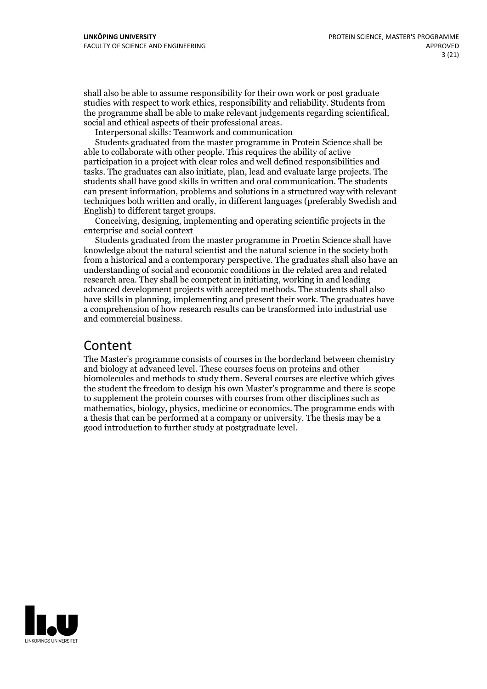shall also be able to assume responsibility for their own work or post graduate studies with respect to work ethics, responsibility and reliability. Students from the programme shall be able to make relevant judgements regarding scientifical, social and ethical aspects of their professional areas. Interpersonal skills: Teamwork and communication

Students graduated from the master programme in Protein Science shall be able to collaborate with other people. This requires the ability of active participation in a project with clear roles and well defined responsibilities and tasks. The graduates can also initiate, plan, lead and evaluate large projects. The students shall have good skills in written and oral communication. The students can present information, problems and solutions in a structured way with relevant techniques both written and orally, in different languages (preferably Swedish and English) to different target groups. Conceiving, designing, implementing and operating scientific projects in the

enterprise and social context

Students graduated from the master programme in Proetin Science shall have knowledge about the natural scientist and the natural science in the society both from a historical and a contemporary perspective. The graduates shall also have an understanding of social and economic conditions in the related area and related research area. They shall be competent in initiating, working in and leading advanced development projects with accepted methods. The students shall also have skills in planning, implementing and present their work. The graduates have a comprehension of how research results can be transformed into industrial use and commercial business.

## Content

The Master's programme consists of courses in the borderland between chemistry and biology at advanced level. These courses focus on proteins and other biomolecules and methods to study them. Several courses are elective which gives the student the freedom to design his own Master's programme and there is scope to supplement the protein courses with courses from other disciplines such as mathematics, biology, physics, medicine or economics. The programme ends with a thesis that can be performed at a company or university. The thesis may be a good introduction to further study at postgraduate level.

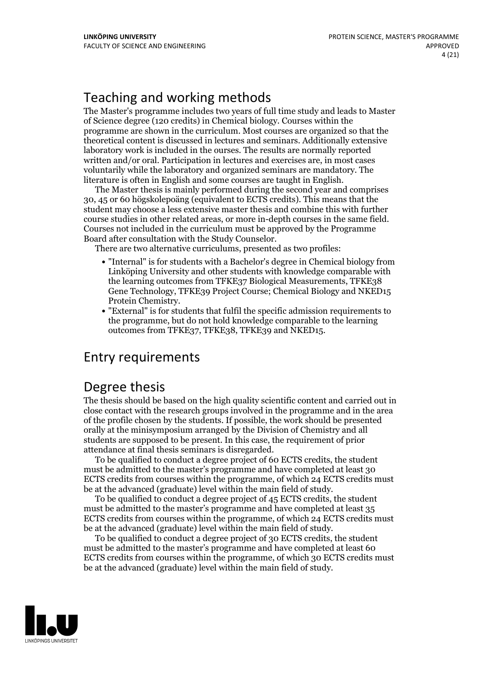## Teaching and working methods

The Master's programme includes two years of full time study and leads to Master of Science degree (120 credits) in Chemical biology. Courses within the programme are shown in the curriculum. Most courses are organized so that the theoretical content is discussed in lectures and seminars. Additionally extensive laboratory work is included in the ourses. The results are normally reported written and/or oral. Participation in lectures and exercises are, in most cases voluntarily while the laboratory and organized seminars are mandatory. The literature is often in English and some courses are taught in English. The Master thesis is mainly performed during the second year and comprises

30, 45 or 60 högskolepoäng (equivalent to ECTS credits). This means that the student may choose a less extensive master thesis and combine this with further course studies in other related areas, or more in-depth courses in the same field. Courses not included in the curriculum must be approved by the Programme Board after consultation with the Study Counselor. There are two alternative curriculums, presented as two profiles:

- "Internal" is for students with a Bachelor's degree in Chemical biology from Linköping University and other students with knowledge comparable with the learning outcomes from TFKE37 Biological Measurements, TFKE38 Gene Technology, TFKE39 Project Course; Chemical Biology and NKED15 Protein Chemistry. "External" is for students that fulfil the specific admission requirements to
- the programme, but do not hold knowledge comparable to the learning outcomes from TFKE37, TFKE38, TFKE39 and NKED15.

## Entry requirements

## Degree thesis

The thesis should be based on the high quality scientific content and carried outin close contact with the research groups involved in the programme and in the area of the profile chosen by the students. If possible, the work should be presented orally at the minisymposium arranged by the Division of Chemistry and all students are supposed to be present. In this case, the requirement of prior

attendance at final thesis seminars is disregarded. To be qualified to conduct <sup>a</sup> degree project of <sup>60</sup> ECTS credits, the student must be admitted to the master's programme and have completed at least 30 ECTS credits from courses within the programme, of which 24 ECTS credits must be at the advanced (graduate) level within the main field of study. To be qualified to conduct <sup>a</sup> degree project of <sup>45</sup> ECTS credits, the student

must be admitted to the master's programme and have completed at least 35 ECTS credits from courses within the programme, of which 24 ECTS credits must be at the advanced (graduate) level within the main field of study. To be qualified to conduct <sup>a</sup> degree project of <sup>30</sup> ECTS credits, the student

must be admitted to the master's programme and have completed at least 60 ECTS credits from courses within the programme, of which 30 ECTS credits must be at the advanced (graduate) level within the main field of study.

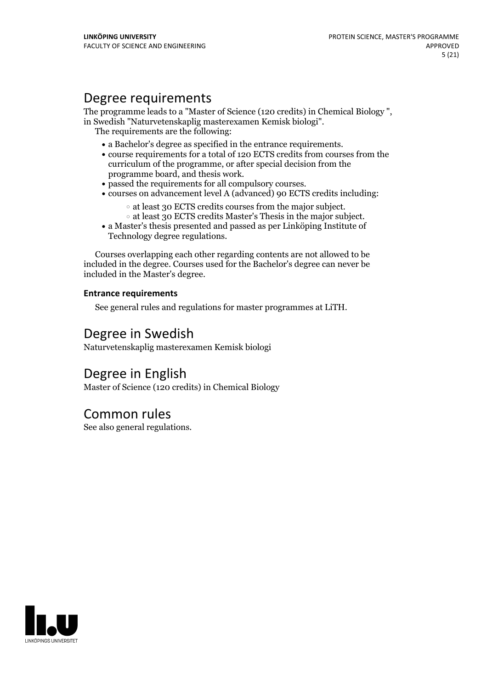## Degree requirements

The programme leads to <sup>a</sup> "Master of Science (120 credits) in Chemical Biology ", in Swedish "Naturvetenskaplig masterexamen Kemisk biologi". The requirements are the following:

- 
- $\bullet$  a Bachelor's degree as specified in the entrance requirements.  $\bullet$  course requirements for a total of 120 ECTS credits from courses from the curriculum of the programme, or after special decision from the
- 
- programme board, and thesis work.<br>
 passed the requirements for all compulsory courses.<br>
 courses on advancement level A (advanced) 90 ECTS credits including:
	-
- at least <sup>30</sup> ECTS credits courses from the major subject. at least <sup>30</sup> ECTS credits Master's Thesis in the major subject. <sup>a</sup> Master's thesis presented and passed as per Linköping Institute of
- Technology degree regulations.

Courses overlapping each other regarding contents are not allowed to be included in the degree. Courses used for the Bachelor's degree can never be included in the Master's degree.

#### **Entrance requirements**

See general rules and regulations for master programmes at LiTH.

## Degree in Swedish

Naturvetenskaplig masterexamen Kemisk biologi

## Degree in English

Master of Science (120 credits) in Chemical Biology

## Common rules

See also general regulations.

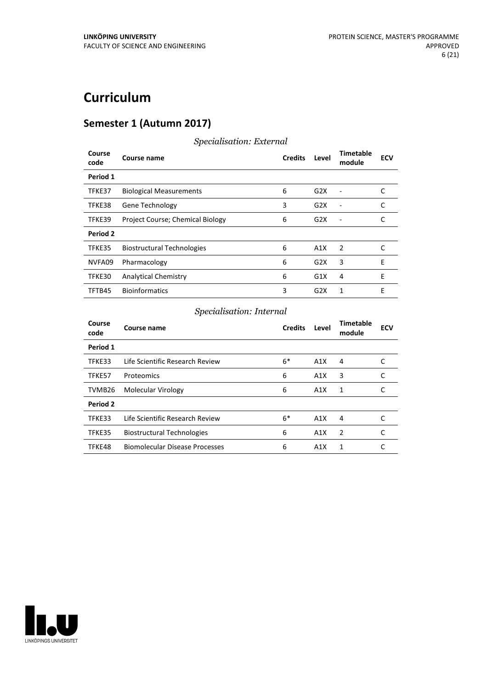## **Curriculum**

## **Semester 1 (Autumn 2017)**

| Course<br>code  | Course name                       | <b>Credits</b> | Level            | <b>Timetable</b><br>module | <b>ECV</b> |
|-----------------|-----------------------------------|----------------|------------------|----------------------------|------------|
| Period 1        |                                   |                |                  |                            |            |
| TFKE37          | <b>Biological Measurements</b>    | 6              | G <sub>2</sub> X |                            | C          |
| TFKE38          | <b>Gene Technology</b>            | 3              | G2X              |                            |            |
| TFKE39          | Project Course; Chemical Biology  | 6              | G <sub>2</sub> X |                            | C          |
| <b>Period 2</b> |                                   |                |                  |                            |            |
| TFKE35          | <b>Biostructural Technologies</b> | 6              | A1X              | $\overline{2}$             | C          |
| NVFA09          | Pharmacology                      | 6              | G <sub>2</sub> X | 3                          | E          |
| TFKE30          | <b>Analytical Chemistry</b>       | 6              | G1X              | 4                          | E          |
| TFTB45          | <b>Bioinformatics</b>             | 3              | G <sub>2</sub> X | 1                          | F          |

### *Specialisation: External*

## *Specialisation: Internal*

| Course<br>code | Course name                       | <b>Credits</b> | Level | <b>Timetable</b><br>module | <b>ECV</b> |
|----------------|-----------------------------------|----------------|-------|----------------------------|------------|
| Period 1       |                                   |                |       |                            |            |
| TFKE33         | Life Scientific Research Review   | $6*$           | A1X   | 4                          | C          |
| TFKE57         | Proteomics                        | 6              | A1X   | 3                          | C          |
| TVMB26         | Molecular Virology                | 6              | A1X   | 1                          | C          |
| Period 2       |                                   |                |       |                            |            |
| TFKE33         | Life Scientific Research Review   | $6*$           | A1X   | 4                          |            |
| TFKE35         | <b>Biostructural Technologies</b> | 6              | A1X   | 2                          | C          |
| TFKE48         | Biomolecular Disease Processes    | 6              | A1X   | 1                          |            |

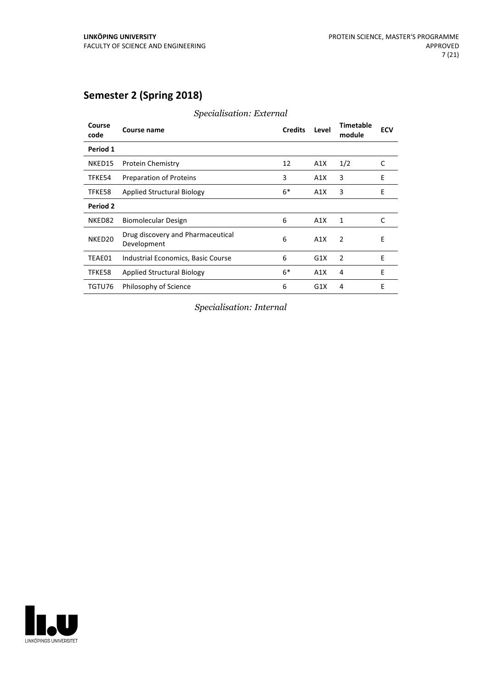## **Semester 2 (Spring 2018)**

| Course<br>code     | Course name                                      | <b>Credits</b> | Level | <b>Timetable</b><br>module | <b>ECV</b> |
|--------------------|--------------------------------------------------|----------------|-------|----------------------------|------------|
| Period 1           |                                                  |                |       |                            |            |
| NKED15             | <b>Protein Chemistry</b>                         | 12             | A1X   | 1/2                        | C          |
| TFKE54             | Preparation of Proteins                          | 3              | A1X   | 3                          | E          |
| TFKE58             | <b>Applied Structural Biology</b>                | $6*$           | A1X   | 3                          | E          |
| <b>Period 2</b>    |                                                  |                |       |                            |            |
| NKED82             | Biomolecular Design                              | 6              | A1X   | 1                          | C          |
| NKED <sub>20</sub> | Drug discovery and Pharmaceutical<br>Development | 6              | A1X   | 2                          | Ε          |
| TEAE01             | Industrial Economics, Basic Course               | 6              | G1X   | 2                          | E          |
| TFKE58             | <b>Applied Structural Biology</b>                | $6*$           | A1X   | 4                          | E          |
| TGTU76             | Philosophy of Science                            | 6              | G1X   | 4                          | E          |

*Specialisation: External*

*Specialisation: Internal*

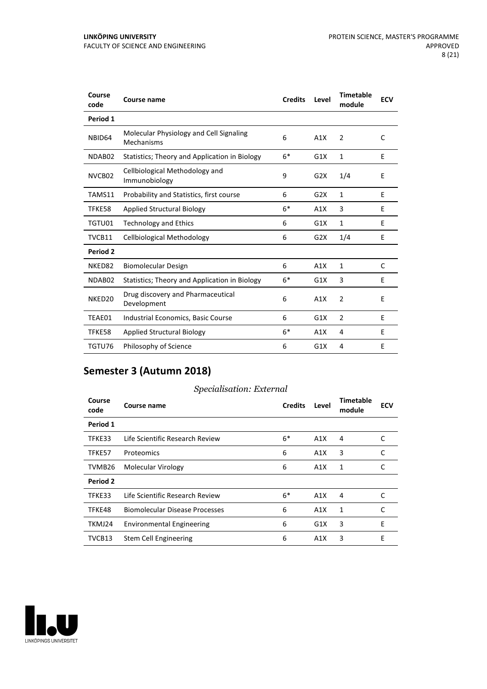| Course<br>code     | <b>Course name</b>                                    | <b>Credits</b> | Level            | <b>Timetable</b><br>module | <b>ECV</b> |
|--------------------|-------------------------------------------------------|----------------|------------------|----------------------------|------------|
| Period 1           |                                                       |                |                  |                            |            |
| NBID64             | Molecular Physiology and Cell Signaling<br>Mechanisms | 6              | A1X              | $\overline{2}$             | C          |
| NDAB02             | Statistics; Theory and Application in Biology         | $6*$           | G1X              | $\mathbf{1}$               | E          |
| NVCB02             | Cellbiological Methodology and<br>Immunobiology       | 9              | G2X              | 1/4                        | E          |
| TAMS11             | Probability and Statistics, first course              | 6              | G <sub>2</sub> X | 1                          | E          |
| TFKE58             | <b>Applied Structural Biology</b>                     | $6*$           | A1X              | 3                          | E          |
| TGTU01             | <b>Technology and Ethics</b>                          | 6              | G1X              | $\mathbf{1}$               | E          |
| TVCB11             | Cellbiological Methodology                            | 6              | G <sub>2</sub> X | 1/4                        | E          |
| Period 2           |                                                       |                |                  |                            |            |
| NKED82             | <b>Biomolecular Design</b>                            | 6              | A1X              | $\mathbf{1}$               | C          |
| NDAB02             | Statistics; Theory and Application in Biology         | $6*$           | G1X              | 3                          | E          |
| NKED <sub>20</sub> | Drug discovery and Pharmaceutical<br>Development      | 6              | A1X              | $\overline{2}$             | Е          |
| TEAE01             | Industrial Economics, Basic Course                    | 6              | G1X              | $\overline{2}$             | E          |
| TFKE58             | <b>Applied Structural Biology</b>                     | $6*$           | A1X              | 4                          | E          |
| TGTU76             | Philosophy of Science                                 | 6              | G1X              | 4                          | E          |

## **Semester 3 (Autumn 2018)**

#### *Specialisation: External*

| Course<br>code  | Course name                      | <b>Credits</b> | Level | <b>Timetable</b><br>module | <b>ECV</b> |
|-----------------|----------------------------------|----------------|-------|----------------------------|------------|
| Period 1        |                                  |                |       |                            |            |
| TFKE33          | Life Scientific Research Review  | $6*$           | A1X   | 4                          | C          |
| TFKE57          | Proteomics                       | 6              | A1X   | 3                          | C          |
| TVMB26          | Molecular Virology               | 6              | A1X   | 1                          | C          |
| <b>Period 2</b> |                                  |                |       |                            |            |
| TFKE33          | Life Scientific Research Review  | $6*$           | A1X   | 4                          | C          |
| TFKE48          | Biomolecular Disease Processes   | 6              | A1X   | 1                          | C          |
| TKMJ24          | <b>Environmental Engineering</b> | 6              | G1X   | 3                          | E          |
| TVCB13          | Stem Cell Engineering            | 6              | A1X   | 3                          | E          |

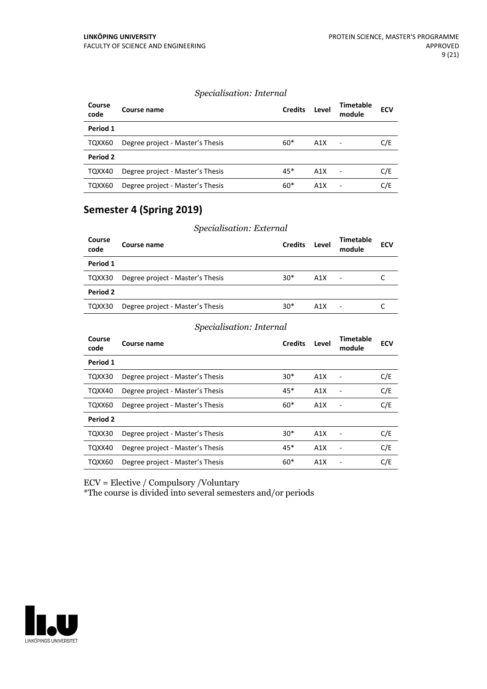#### *Specialisation: Internal*

| Course<br>code | Course name                      | <b>Credits</b> | Level | <b>Timetable</b><br>module | <b>ECV</b> |
|----------------|----------------------------------|----------------|-------|----------------------------|------------|
| Period 1       |                                  |                |       |                            |            |
| TQXX60         | Degree project - Master's Thesis | $60*$          | A1X   |                            | C/E        |
| Period 2       |                                  |                |       |                            |            |
| TQXX40         | Degree project - Master's Thesis | $45*$          | A1X   |                            | C/E        |
| TQXX60         | Degree project - Master's Thesis | $60*$          | A1X   |                            | C/E        |

### **Semester 4 (Spring 2019)**

|                | Specialisation: External         |                |                  |                            |            |  |
|----------------|----------------------------------|----------------|------------------|----------------------------|------------|--|
| Course<br>code | Course name                      | <b>Credits</b> | Level            | <b>Timetable</b><br>module | <b>ECV</b> |  |
| Period 1       |                                  |                |                  |                            |            |  |
| TQXX30         | Degree project - Master's Thesis | $30*$          | A1X              | $\blacksquare$             |            |  |
| Period 2       |                                  |                |                  |                            |            |  |
| TQXX30         | Degree project - Master's Thesis | $30*$          | A <sub>1</sub> X |                            |            |  |

#### *Specialisation: Internal*

| Course<br>code | Course name                      | <b>Credits</b> | Level | Timetable<br>module | <b>ECV</b> |
|----------------|----------------------------------|----------------|-------|---------------------|------------|
| Period 1       |                                  |                |       |                     |            |
| TQXX30         | Degree project - Master's Thesis | $30*$          | A1X   |                     | C/E        |
| TQXX40         | Degree project - Master's Thesis | 45*            | A1X   |                     | C/E        |
| TQXX60         | Degree project - Master's Thesis | $60*$          | A1X   |                     | C/E        |
| Period 2       |                                  |                |       |                     |            |
| TQXX30         | Degree project - Master's Thesis | $30*$          | A1X   |                     | C/E        |
| TQXX40         | Degree project - Master's Thesis | $45*$          | A1X   |                     | C/E        |
| TQXX60         | Degree project - Master's Thesis | $60*$          | A1X   |                     | C/E        |

ECV = Elective / Compulsory /Voluntary

\*The course is divided into several semesters and/or periods

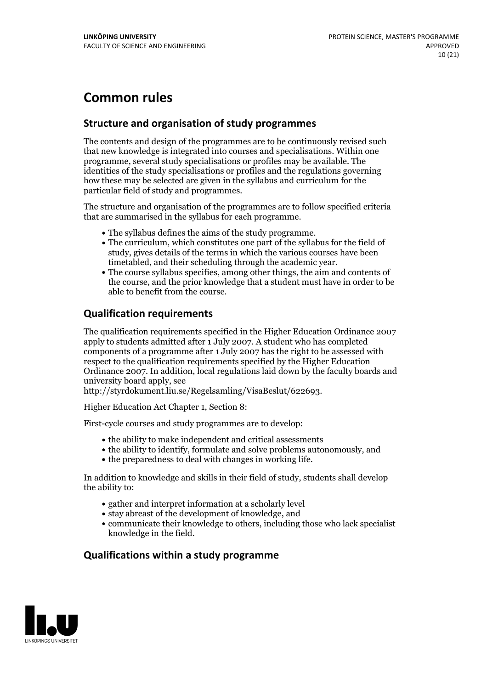## **Common rules**

#### **Structure and organisation of study programmes**

The contents and design of the programmes are to be continuously revised such that new knowledge is integrated into courses and specialisations. Within one programme, several study specialisations or profiles may be available. The identities of the study specialisations or profiles and the regulations governing how these may be selected are given in the syllabus and curriculum for the particular field of study and programmes.

The structure and organisation of the programmes are to follow specified criteria that are summarised in the syllabus for each programme.

- 
- The syllabus defines the aims of the study programme.<br>• The curriculum, which constitutes one part of the syllabus for the field of study, gives details of the terms in which the various courses have been timetabled, and their scheduling through the academic year.<br>• The course syllabus specifies, among other things, the aim and contents of
- the course, and the prior knowledge that a student must have in order to be able to benefit from the course.

#### **Qualification requirements**

The qualification requirements specified in the Higher Education Ordinance 2007 apply to students admitted after 1 July 2007. A student who has completed components of a programme after 1 July 2007 has the right to be assessed with respect to the qualification requirements specified by the Higher Education Ordinance 2007. In addition, local regulations laid down by the faculty boards and university board apply, see

http://styrdokument.liu.se/Regelsamling/VisaBeslut/622693.

Higher Education Act Chapter 1, Section 8:

First-cycle courses and study programmes are to develop:

- the ability to make independent and critical assessments
- the ability to identify, formulate and solve problems autonomously, and
- the preparedness to deal with changes in working life.

In addition to knowledge and skills in their field of study, students shall develop the ability to:

- gather and interpret information at a scholarly level
- stay abreast of the development of knowledge, and
- communicate their knowledge to others, including those who lack specialist knowledge in the field.

#### **Qualifications within a study programme**

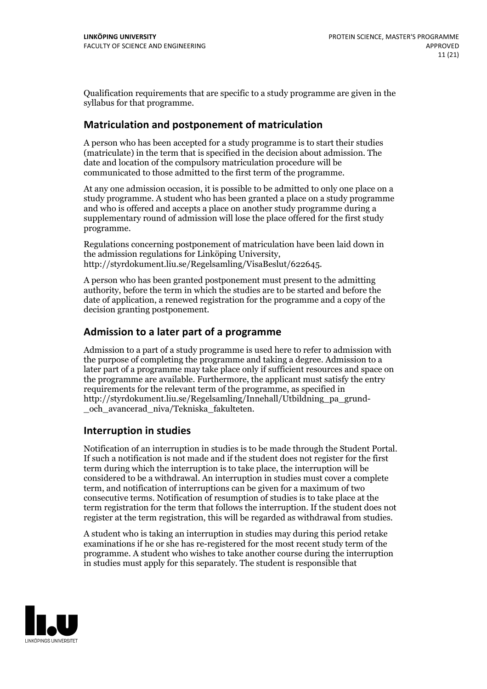Qualification requirements that are specific to a study programme are given in the syllabus for that programme.

#### **Matriculation and postponement of matriculation**

A person who has been accepted for a study programme is to start their studies (matriculate) in the term that is specified in the decision about admission. The date and location of the compulsory matriculation procedure will be communicated to those admitted to the first term of the programme.

At any one admission occasion, it is possible to be admitted to only one place on a study programme. A student who has been granted a place on a study programme and who is offered and accepts a place on another study programme during a supplementary round of admission will lose the place offered for the first study programme.

Regulations concerning postponement of matriculation have been laid down in the admission regulations for Linköping University, http://styrdokument.liu.se/Regelsamling/VisaBeslut/622645.

A person who has been granted postponement must present to the admitting authority, before the term in which the studies are to be started and before the date of application, a renewed registration for the programme and a copy of the decision granting postponement.

#### **Admission to a later part of a programme**

Admission to a part of a study programme is used here to refer to admission with the purpose of completing the programme and taking a degree. Admission to a later part of a programme may take place only if sufficient resources and space on the programme are available. Furthermore, the applicant must satisfy the entry requirements for the relevant term of the programme, as specified in http://styrdokument.liu.se/Regelsamling/Innehall/Utbildning\_pa\_grund- \_och\_avancerad\_niva/Tekniska\_fakulteten.

#### **Interruption in studies**

Notification of an interruption in studies is to be made through the Student Portal. If such <sup>a</sup> notification is not made and if the student does not register for the first term during which the interruption is to take place, the interruption will be considered to be a withdrawal. An interruption in studies must cover a complete term, and notification of interruptions can be given for a maximum of two consecutive terms. Notification of resumption of studies is to take place at the term registration for the term that follows the interruption. If the student does not register at the term registration, this will be regarded as withdrawal from studies.

A student who is taking an interruption in studies may during this period retake examinations if he or she has re-registered for the most recent study term of the programme. A student who wishes to take another course during the interruption in studies must apply for this separately. The student is responsible that

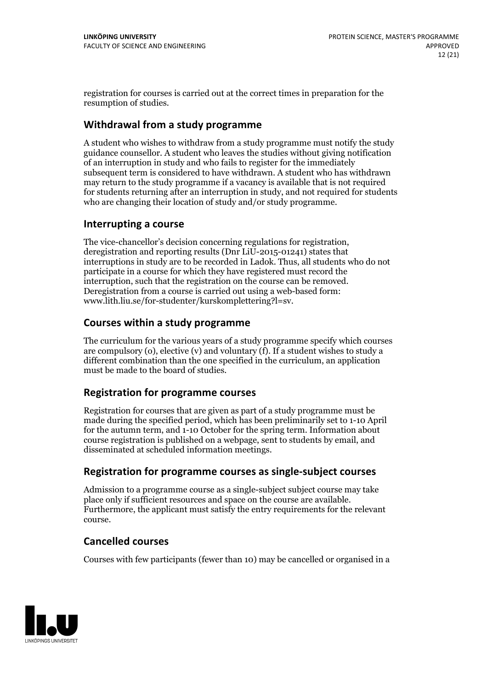registration for courses is carried outat the correct times in preparation for the resumption of studies.

#### **Withdrawal from a study programme**

A student who wishes to withdraw from a study programme must notify the study guidance counsellor. A student who leaves the studies without giving notification of an interruption in study and who fails to register for the immediately subsequent term is considered to have withdrawn. A student who has withdrawn may return to the study programme if a vacancy is available that is not required for students returning after an interruption in study, and not required for students who are changing their location of study and/or study programme.

#### **Interrupting a course**

The vice-chancellor's decision concerning regulations for registration, deregistration and reporting results (Dnr LiU-2015-01241) states that interruptions in study are to be recorded in Ladok. Thus, all students who do not participate in a course for which they have registered must record the interruption, such that the registration on the course can be removed. Deregistration from <sup>a</sup> course is carried outusing <sup>a</sup> web-based form: www.lith.liu.se/for-studenter/kurskomplettering?l=sv.

#### **Courses within a study programme**

The curriculum for the various years of a study programme specify which courses are compulsory (o), elective (v) and voluntary (f). If a student wishes to study a different combination than the one specified in the curriculum, an application must be made to the board of studies.

#### **Registration for programme courses**

Registration for courses that are given as part of a study programme must be made during the specified period, which has been preliminarily set to 1-10 April for the autumn term, and 1-10 October for the spring term. Information about course registration is published on a webpage, sent to students by email, and disseminated at scheduled information meetings.

#### **Registration for programme courses as single-subject courses**

Admission to a programme course as a single-subject subject course may take place only if sufficient resources and space on the course are available. Furthermore, the applicant must satisfy the entry requirements for the relevant course.

#### **Cancelled courses**

Courses with few participants (fewer than 10) may be cancelled or organised in a

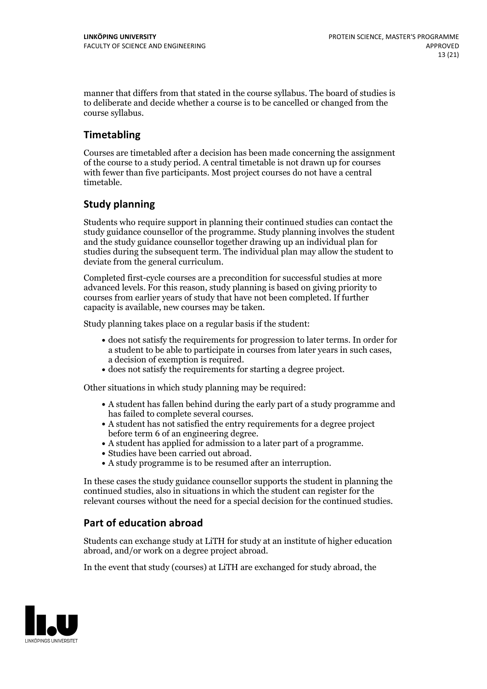manner that differs from that stated in the course syllabus. The board of studies is to deliberate and decide whether a course is to be cancelled orchanged from the course syllabus.

## **Timetabling**

Courses are timetabled after a decision has been made concerning the assignment of the course to a study period. A central timetable is not drawn up for courses with fewer than five participants. Most project courses do not have a central timetable.

### **Study planning**

Students who require support in planning their continued studies can contact the study guidance counsellor of the programme. Study planning involves the student and the study guidance counsellor together drawing up an individual plan for studies during the subsequent term. The individual plan may allow the student to deviate from the general curriculum.

Completed first-cycle courses are a precondition for successful studies at more advanced levels. For this reason, study planning is based on giving priority to courses from earlier years of study that have not been completed. If further capacity is available, new courses may be taken.

Study planning takes place on a regular basis if the student:

- does not satisfy the requirements for progression to later terms. In order for a student to be able to participate in courses from later years in such cases, a decision of exemption is required.<br>
• does not satisfy the requirements for starting a degree project.
- 

Other situations in which study planning may be required:

- A student has fallen behind during the early part of a study programme and
- has failed to complete several courses.<br>• A student has not satisfied the entry requirements for a degree project
- before term 6 of an engineering degree.<br>
 A student has applied for admission to a later part of a programme.<br>
 Studies have been carried out abroad.<br>
 A study programme is to be resumed after an interruption.
- 
- 

In these cases the study guidance counsellor supports the student in planning the continued studies, also in situations in which the student can register for the relevant courses without the need for a special decision for the continued studies.

### **Part of education abroad**

Students can exchange study at LiTH for study at an institute of higher education abroad, and/or work on a degree project abroad.

In the event that study (courses) at LiTH are exchanged for study abroad, the

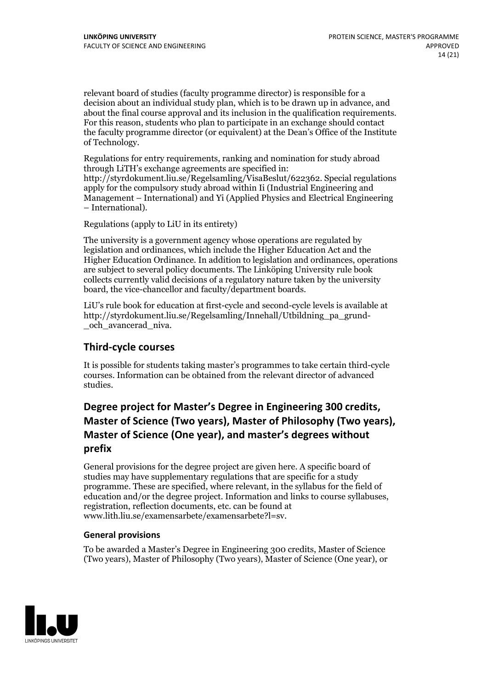relevant board of studies (faculty programme director) is responsible for a decision about an individual study plan, which is to be drawn up in advance, and about the final course approval and its inclusion in the qualification requirements. For this reason, students who plan to participate in an exchange should contact the faculty programme director (or equivalent) at the Dean's Office ofthe Institute of Technology.

Regulations for entry requirements, ranking and nomination for study abroad through LiTH's exchange agreements are specified in: http://styrdokument.liu.se/Regelsamling/VisaBeslut/622362. Special regulations apply for the compulsory study abroad within Ii (Industrial Engineering and Management – International) and Yi (Applied Physics and Electrical Engineering – International).

Regulations (apply to LiU in its entirety)

The university is a government agency whose operations are regulated by legislation and ordinances, which include the Higher Education Act and the Higher Education Ordinance. In addition to legislation and ordinances, operations are subject to several policy documents. The Linköping University rule book collects currently valid decisions of a regulatory nature taken by the university board, the vice-chancellor and faculty/department boards.

LiU's rule book for education at first-cycle and second-cycle levels is available at http://styrdokument.liu.se/Regelsamling/Innehall/Utbildning\_pa\_grund- \_och\_avancerad\_niva.

#### **Third-cycle courses**

It is possible for students taking master's programmes to take certain third-cycle courses. Information can be obtained from the relevant director of advanced studies.

## **Degree project for Master's Degree in Engineering 300 credits, Master** of Science (Two years), Master of Philosophy (Two years), **Master** of Science (One year), and master's degrees without **prefix**

General provisions for the degree project are given here. A specific board of studies may have supplementary regulations that are specific for a study programme. These are specified, where relevant, in the syllabus for the field of education and/or the degree project. Information and links to course syllabuses, registration, reflection documents, etc. can be found at www.lith.liu.se/examensarbete/examensarbete?l=sv.

#### **General provisions**

To be awarded a Master's Degree in Engineering 300 credits, Master of Science (Two years), Master of Philosophy (Two years), Master of Science (One year), or

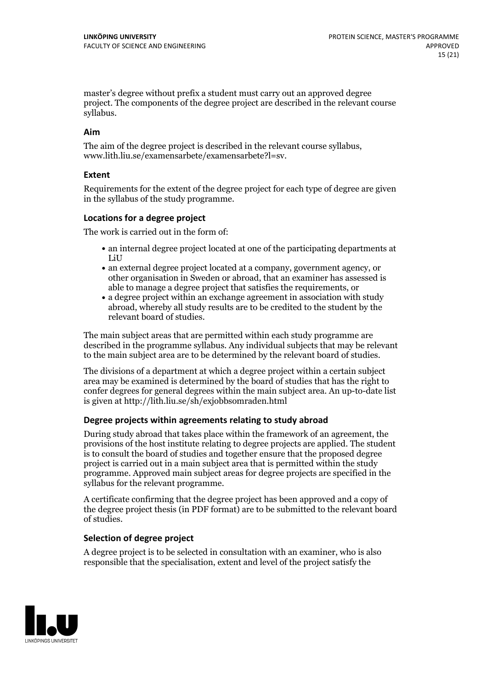master's degree without prefix a student must carry out an approved degree project. The components of the degree project are described in the relevant course syllabus.

#### **Aim**

The aim of the degree project is described in the relevant course syllabus, www.lith.liu.se/examensarbete/examensarbete?l=sv.

#### **Extent**

Requirements for the extent of the degree project for each type of degree are given in the syllabus of the study programme.

#### **Locations for a degree project**

The work is carried out in the form of:

- an internal degree project located at one of the participating departments at LiU
- an external degree project located at a company, government agency, or other organisation in Sweden or abroad, that an examiner has assessed is able to manage a degree project that satisfies the requirements, or
- a degree project within an exchange agreement in association with study abroad, whereby all study results are to be credited to the student by the relevant board of studies.

The main subject areas that are permitted within each study programme are described in the programme syllabus. Any individual subjects that may be relevant to the main subject area are to be determined by the relevant board of studies.

The divisions of a department at which a degree project within a certain subject area may be examined isdetermined by the board of studies that has the right to confer degrees for general degrees within the main subject area. An up-to-date list is given at http://lith.liu.se/sh/exjobbsomraden.html

#### **Degree projects within agreements relatingto study abroad**

During study abroad that takes place within the framework of an agreement, the provisions of the host institute relating to degree projects are applied. The student is to consult the board of studies and together ensure that the proposed degree project is carried outin a main subject area that is permitted within the study programme. Approved main subject areas for degree projects are specified in the syllabus for the relevant programme.

A certificate confirming that the degree project has been approved and a copy of the degree project thesis (in PDF format) are to be submitted to the relevant board of studies.

#### **Selection of degree project**

A degree project is to be selected in consultation with an examiner, who is also responsible that the specialisation, extent and level of the project satisfy the

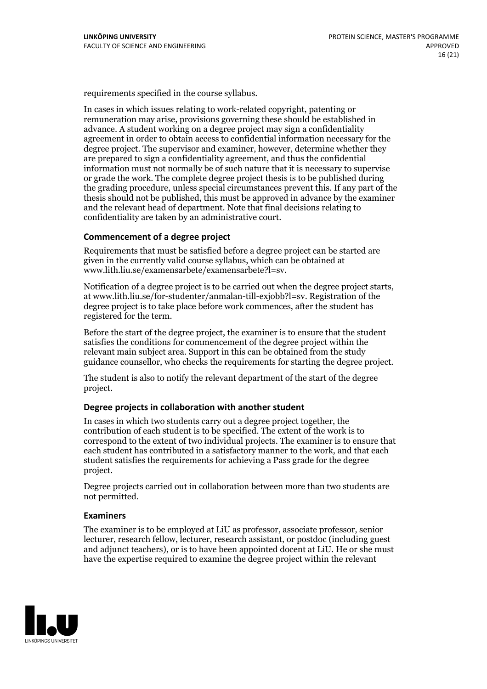requirements specified in the course syllabus.

In cases in which issues relating to work-related copyright, patenting or remuneration may arise, provisions governing these should be established in advance. A student working on a degree project may sign a confidentiality agreement in order to obtain access to confidential information necessary for the degree project. The supervisor and examiner, however, determine whether they are prepared to sign a confidentiality agreement, and thus the confidential information must not normally be of such nature that it is necessary to supervise or grade the work. The complete degree project thesis is to be published during the grading procedure, unless special circumstances prevent this. If any part of the thesis should not be published, this must be approved in advance by the examiner and the relevant head of department. Note that final decisions relating to confidentiality are taken by an administrative court.

#### **Commencement of a degree project**

Requirements that must be satisfied before a degree project can be started are given in the currently valid course syllabus, which can be obtained at www.lith.liu.se/examensarbete/examensarbete?l=sv.

Notification of <sup>a</sup> degree project is to be carried outwhen the degree project starts, at www.lith.liu.se/for-studenter/anmalan-till-exjobb?l=sv. Registration of the degree project is to take place before work commences, after the student has registered for the term.

Before the start of the degree project, the examiner is to ensure that the student satisfies the conditions for commencement of the degree project within the relevant main subject area. Support in this can be obtained from the study guidance counsellor, who checks the requirements for starting the degree project.

The student is also to notify the relevant department of the start of the degree project.

#### **Degree projects in collaboration with another student**

In cases in which two students carry out a degree project together, the contribution of each student is to be specified. The extent of the work is to correspond to the extent of two individual projects. The examiner is to ensure that each student has contributed in a satisfactory manner to the work, and that each student satisfies the requirements for achieving a Pass grade for the degree project.

Degree projects carried out in collaboration between more than two students are not permitted.

#### **Examiners**

The examiner is to be employed at LiU as professor, associate professor, senior lecturer, research fellow, lecturer, research assistant, or postdoc (including guest and adjunct teachers), or is to have been appointed docent at LiU. He or she must have the expertise required to examine the degree project within the relevant

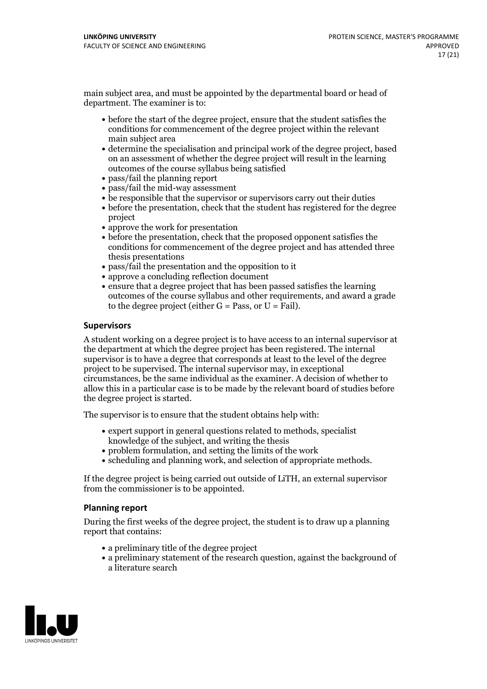main subject area, and must be appointed by the departmental board or head of department. The examiner is to:

- before the start of the degree project, ensure that the student satisfies the conditions for commencement of the degree project within the relevant main subject area
- determine the specialisation and principal work of the degree project, based on an assessment of whether the degree project will result in the learning outcomes of the course syllabus being satisfied
- pass/fail the planning report
- pass/fail the mid-way assessment
- be responsible that the supervisor or supervisors carry out their duties
- before the presentation, check that the student has registered for the degree project
- approve the work for presentation
- before the presentation, check that the proposed opponent satisfies the conditions for commencement of the degree project and has attended three thesis presentations
- pass/fail the presentation and the opposition to it
- approve a concluding reflection document
- ensure that a degree project that has been passed satisfies the learning outcomes of the course syllabus and other requirements, and award a grade to the degree project (either  $G = Pass$ , or  $U = Fail$ ).

#### **Supervisors**

A student working on a degree project is to have access to an internal supervisor at the department at which the degree project has been registered. The internal supervisor is to have a degree that corresponds at least to the level of the degree project to be supervised. The internal supervisor may, in exceptional circumstances, be the same individual as the examiner. A decision of whether to allow this in a particular case is to be made by the relevant board of studies before the degree project is started.

The supervisor is to ensure that the student obtains help with:

- expert support in general questions related to methods, specialist knowledge of the subject, and writing the thesis
- problem formulation, and setting the limits of the work
- scheduling and planning work, and selection of appropriate methods.

If the degree project is being carried out outside of LiTH, an external supervisor from the commissioner is to be appointed.

#### **Planning report**

During the first weeks of the degree project, the student is to draw up a planning report that contains:

- $\bullet$  a preliminary title of the degree project
- a preliminary statement of the research question, against the background of a literature search

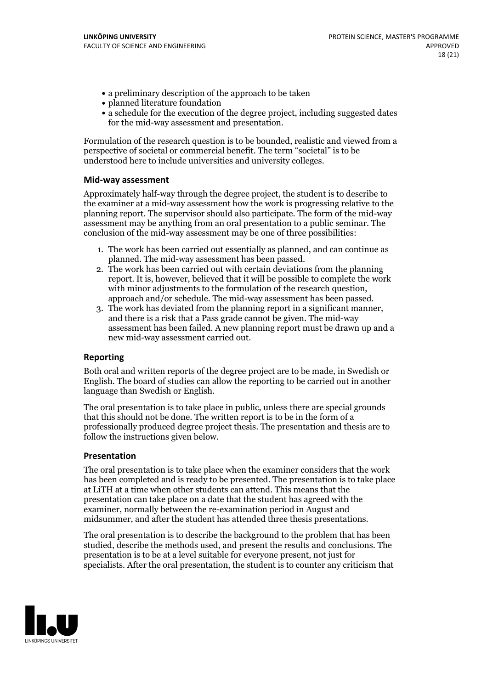- a preliminary description of the approach to be taken
- planned literature foundation
- a schedule for the execution of the degree project, including suggested dates for the mid-way assessment and presentation.

Formulation of the research question is to be bounded, realistic and viewed from a perspective of societal or commercial benefit. The term "societal" is to be understood here to include universities and university colleges.

#### **Mid-way assessment**

Approximately half-way through the degree project, the student is to describe to the examiner at a mid-way assessment how the work is progressing relative to the planning report. The supervisor should also participate. The form of the mid-way assessment may be anything from an oral presentation to a public seminar. The conclusion of the mid-way assessment may be one of three possibilities:

- 1. The work has been carried out essentially as planned, and can continue as planned. The mid-way assessment has been passed. 2. The work has been carried outwith certain deviations from the planning
- report. It is, however, believed that it will be possible to complete the work
- with minor adjustments to the formulation of the research question,<br>approach and/or schedule. The mid-way assessment has been passed.<br>3. The work has deviated from the planning report in a significant manner,<br>and there is assessment has been failed. A new planning report must be drawn up and a new mid-way assessment carried out.

#### **Reporting**

Both oral and written reports of the degree project are to be made, in Swedish or English. The board of studies can allow the reporting to be carried outin another language than Swedish or English.

The oral presentation is to take place in public, unless there are special grounds that this should not be done. The written report is to be in the form of a professionally produced degree project thesis. The presentation and thesis are to follow the instructions given below.

#### **Presentation**

The oral presentation is to take place when the examiner considers that the work has been completed and is ready to be presented. The presentation is to take place at LiTH at a time when other students can attend. This means that the presentation can take place on a date that the student has agreed with the examiner, normally between the re-examination period in August and midsummer, and after the student has attended three thesis presentations.

The oral presentation is to describe the background to the problem that has been studied, describe the methods used, and present the results and conclusions. The presentation is to be at a level suitable for everyone present, not just for specialists. After the oral presentation, the student is to counter any criticism that

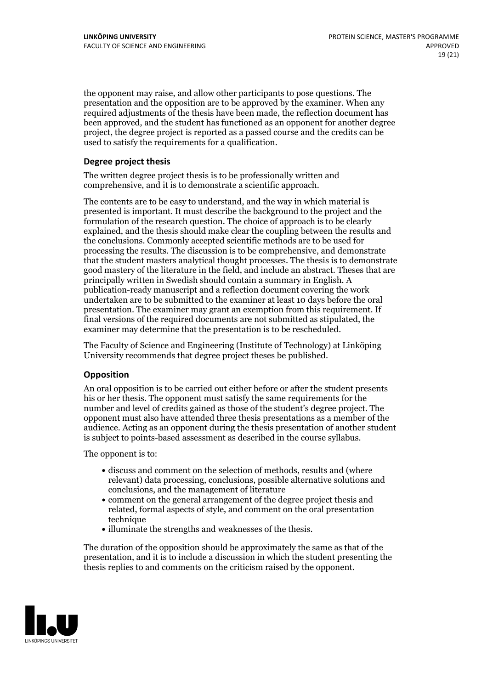the opponent may raise, and allow other participants to pose questions. The presentation and the opposition are to be approved by the examiner. When any required adjustments of the thesis have been made, the reflection document has been approved, and the student has functioned as an opponent for another degree project, the degree project is reported as a passed course and the credits can be used to satisfy the requirements for a qualification.

#### **Degree project thesis**

The written degree project thesis is to be professionally written and comprehensive, and it is to demonstrate a scientific approach.

The contents are to be easy to understand, and the way in which material is presented is important. It must describe the background to the project and the formulation of the research question. The choice of approach is to be clearly explained, and the thesis should make clear the coupling between the results and the conclusions. Commonly accepted scientific methods are to be used for processing the results. The discussion is to be comprehensive, and demonstrate that the student masters analytical thought processes. The thesis is to demonstrate good mastery of the literature in the field, and include an abstract. Theses that are principally written in Swedish should contain a summary in English. A publication-ready manuscript and a reflection document covering the work undertaken are to be submitted to the examiner at least 10 days before the oral presentation. The examiner may grant an exemption from this requirement. If final versions of the required documents are not submitted as stipulated, the examiner may determine that the presentation is to be rescheduled.

The Faculty of Science and Engineering (Institute of Technology) at Linköping University recommends that degree project theses be published.

#### **Opposition**

An oral opposition is to be carried out either before or after the student presents his or her thesis. The opponent must satisfy the same requirements for the number and level of credits gained as those of the student's degree project. The opponent must also have attended three thesis presentations as a member of the audience. Acting as an opponent during the thesis presentation of another student is subject to points-based assessment as described in the course syllabus.

The opponent is to:

- discuss and comment on the selection of methods, results and (where relevant) data processing, conclusions, possible alternative solutions and conclusions, and the management of literature
- comment on the general arrangement of the degree project thesis and related, formal aspects of style, and comment on the oral presentation technique
- illuminate the strengths and weaknesses of the thesis.

The duration of the opposition should be approximately the same as that of the presentation, and it is to include a discussion in which the student presenting the thesis replies to and comments on the criticism raised by the opponent.

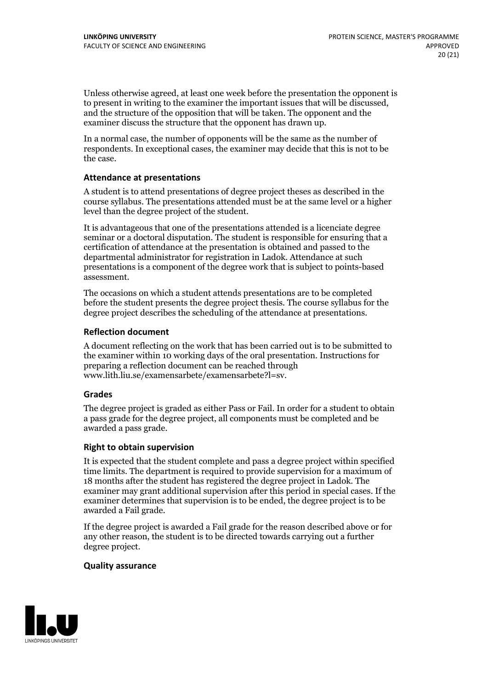Unless otherwise agreed, at least one week before the presentation the opponent is to present in writing to the examiner the important issues that will be discussed, and the structure ofthe opposition that will be taken. The opponent and the examiner discuss the structure that the opponent has drawn up.

In a normal case, the number of opponents will be the same as the number of respondents. In exceptional cases, the examiner may decide that this is not to be the case.

#### **Attendance at presentations**

A student is to attend presentations of degree project theses as described in the course syllabus. The presentations attended must be at the same level or a higher level than the degree project of the student.

It is advantageous that one of the presentations attended is a licenciate degree seminar or a doctoral disputation. The student is responsible for ensuring that a certification of attendance at the presentation is obtained and passed to the departmental administrator for registration in Ladok. Attendance at such presentations is a component of the degree work that is subject to points-based assessment.

The occasions on which a student attends presentations are to be completed before the student presents the degree project thesis. The course syllabus for the degree project describes the scheduling of the attendance at presentations.

#### **Reflection document**

A document reflecting on the work that has been carried outis to be submitted to the examiner within 10 working days of the oral presentation. Instructions for preparing a reflection document can be reached through www.lith.liu.se/examensarbete/examensarbete?l=sv.

#### **Grades**

The degree project is graded as either Pass or Fail. In order for a student to obtain a pass grade for the degree project, all components must be completed and be awarded a pass grade.

#### **Right to obtain supervision**

It is expected that the student complete and pass a degree project within specified time limits. The department is required to provide supervision for a maximum of 18 months after the student has registered the degree project in Ladok. The examiner may grant additional supervision after this period in special cases. If the examiner determines that supervision is to be ended, the degree project is to be awarded a Fail grade.

If the degree project is awarded a Fail grade for the reason described above or for any other reason, the student is to be directed towards carrying out a further degree project.

#### **Quality assurance**